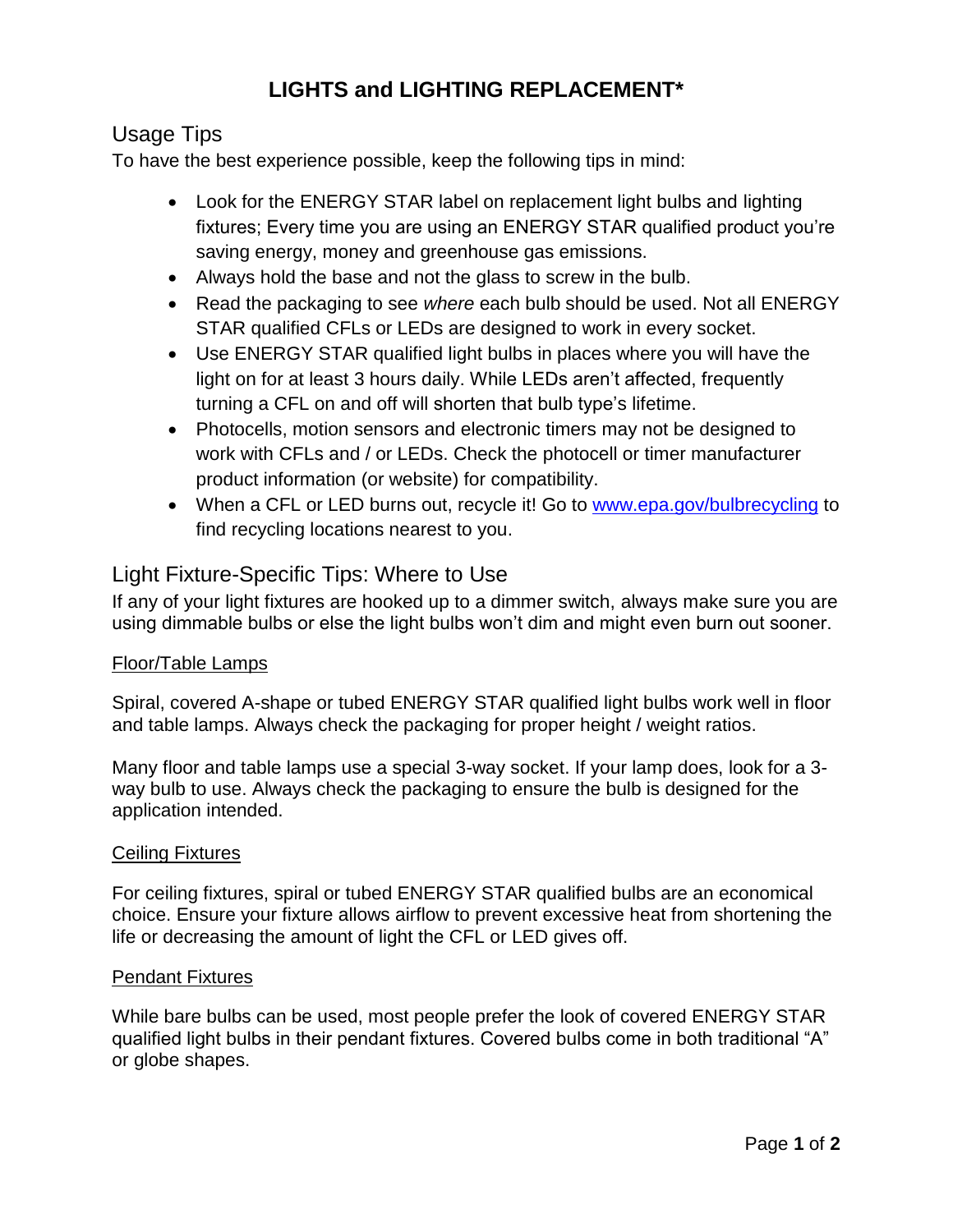# **LIGHTS and LIGHTING REPLACEMENT\***

# Usage Tips

To have the best experience possible, keep the following tips in mind:

- Look for the ENERGY STAR label on replacement light bulbs and lighting fixtures; Every time you are using an ENERGY STAR qualified product you're saving energy, money and greenhouse gas emissions.
- Always hold the base and not the glass to screw in the bulb.
- Read the packaging to see *where* each bulb should be used. Not all ENERGY STAR qualified CFLs or LEDs are designed to work in every socket.
- Use ENERGY STAR qualified light bulbs in places where you will have the light on for at least 3 hours daily. While LEDs aren't affected, frequently turning a CFL on and off will shorten that bulb type's lifetime.
- Photocells, motion sensors and electronic timers may not be designed to work with CFLs and / or LEDs. Check the photocell or timer manufacturer product information (or website) for compatibility.
- When a CFL or LED burns out, recycle it! Go to [www.epa.gov/bulbrecycling](http://www.epa.gov/bulbrecycling/) to find recycling locations nearest to you.

# Light Fixture-Specific Tips: Where to Use

If any of your light fixtures are hooked up to a dimmer switch, always make sure you are using dimmable bulbs or else the light bulbs won't dim and might even burn out sooner.

## Floor/Table Lamps

Spiral, covered A-shape or tubed ENERGY STAR qualified light bulbs work well in floor and table lamps. Always check the packaging for proper height / weight ratios.

Many floor and table lamps use a special 3-way socket. If your lamp does, look for a 3 way bulb to use. Always check the packaging to ensure the bulb is designed for the application intended.

## Ceiling Fixtures

For ceiling fixtures, spiral or tubed ENERGY STAR qualified bulbs are an economical choice. Ensure your fixture allows airflow to prevent excessive heat from shortening the life or decreasing the amount of light the CFL or LED gives off.

## Pendant Fixtures

While bare bulbs can be used, most people prefer the look of covered ENERGY STAR qualified light bulbs in their pendant fixtures. Covered bulbs come in both traditional "A" or globe shapes.